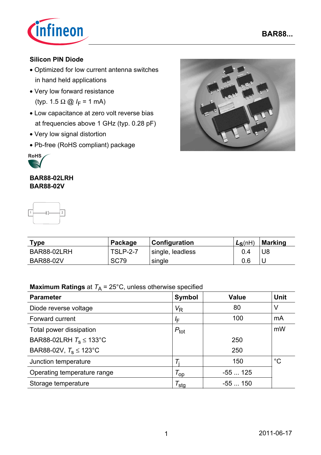

**BAR88...**

### **Silicon PIN Diode**

- Optimized for low current antenna switches in hand held applications
- Very low forward resistance (typ. 1.5 Ω  $\omega$  *I*<sub>F</sub> = 1 mA)
- Low capacitance at zero volt reverse bias at frequencies above 1 GHz (typ. 0.28 pF)
- Very low signal distortion
- Pb-free (RoHS compliant) package



### **BAR88-02LRH BAR88-02V**



| <b>Type</b>      | Package         | Configuration    | $L_S(nH)$ | Marking |
|------------------|-----------------|------------------|-----------|---------|
| BAR88-02LRH      | <b>TSLP-2-7</b> | single, leadless | 0.4       | U8      |
| <b>BAR88-02V</b> | <b>SC79</b>     | single           | 0.6       |         |

# **Maximum Ratings** at  $T_A = 25^{\circ}$ C, unless otherwise specified

| <b>Parameter</b>                    | <b>Symbol</b>        | <b>Value</b> | <b>Unit</b> |
|-------------------------------------|----------------------|--------------|-------------|
| Diode reverse voltage               | $V_{\mathsf{R}}$     | 80           | V           |
| Forward current                     | ΙF                   | 100          | mA          |
| Total power dissipation             | $P_{\text{tot}}$     |              | mW          |
| BAR88-02LRH $T_s \le 133^{\circ}$ C |                      | 250          |             |
| BAR88-02V, $T_s \le 123^{\circ}$ C  |                      | 250          |             |
| Junction temperature                |                      | 150          | $^{\circ}C$ |
| Operating temperature range         | $\tau_{\mathsf{op}}$ | $-55125$     |             |
| Storage temperature                 | $\tau_{\text{stg}}$  | $-55150$     |             |

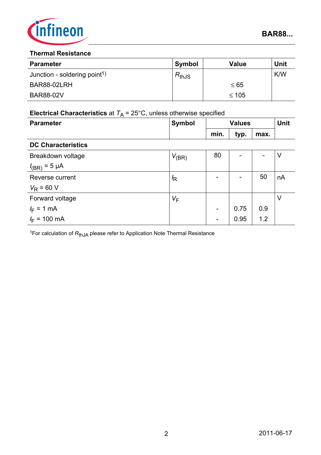

### **Thermal Resistance**

| <b>Parameter</b>                         | <b>Symbol</b> | Value      | <b>Unit</b> |
|------------------------------------------|---------------|------------|-------------|
| Junction - soldering point <sup>1)</sup> | $R_{thJS}$    |            | K/W         |
| BAR88-02LRH                              |               | $\leq 65$  |             |
| <b>BAR88-02V</b>                         |               | $\leq 105$ |             |

# **Electrical Characteristics** at  $T_A = 25^{\circ}$ C, unless otherwise specified

| <b>Parameter</b>          | Symbol     | <b>Values</b> |      |      | <b>Unit</b> |
|---------------------------|------------|---------------|------|------|-------------|
|                           |            | min.          | typ. | max. |             |
| <b>DC Characteristics</b> |            |               |      |      |             |
| Breakdown voltage         | $V_{(BR)}$ | 80            |      |      | $\vee$      |
| $I_{(BR)} = 5 \mu A$      |            |               |      |      |             |
| Reverse current           | $\sqrt{R}$ |               |      | 50   | nA          |
| $V_R$ = 60 V              |            |               |      |      |             |
| Forward voltage           | $V_F$      |               |      |      | V           |
| $I_F = 1$ mA              |            |               | 0.75 | 0.9  |             |
| $I_F$ = 100 mA            |            |               | 0.95 | 1.2  |             |

<sup>1</sup>For calculation of  $R_{thJA}$  please refer to Application Note Thermal Resistance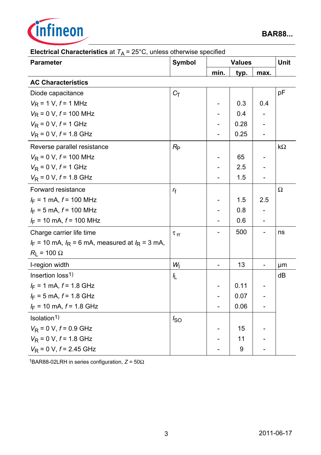

| <b>Parameter</b>                                       | <b>Symbol</b>        |      | <b>Values</b> |      | <b>Unit</b> |
|--------------------------------------------------------|----------------------|------|---------------|------|-------------|
|                                                        |                      | min. | typ.          | max. |             |
| <b>AC Characteristics</b>                              |                      |      |               |      |             |
| Diode capacitance                                      | $C_T$                |      |               |      | pF          |
| $V_R$ = 1 V, $f$ = 1 MHz                               |                      |      | 0.3           | 0.4  |             |
| $V_R$ = 0 V, $f$ = 100 MHz                             |                      | -    | 0.4           |      |             |
| $V_R$ = 0 V, $f$ = 1 GHz                               |                      |      | 0.28          |      |             |
| $V_R$ = 0 V, $f$ = 1.8 GHz                             |                      |      | 0.25          |      |             |
| Reverse parallel resistance                            | $R_{\rm P}$          |      |               |      | $k\Omega$   |
| $V_R$ = 0 V, $f$ = 100 MHz                             |                      |      | 65            |      |             |
| $V_R$ = 0 V, $f$ = 1 GHz                               |                      |      | 2.5           |      |             |
| $V_R$ = 0 V, $f$ = 1.8 GHz                             |                      |      | 1.5           |      |             |
| Forward resistance                                     | $r_{\rm f}$          |      |               |      | Ω           |
| $I_F = 1$ mA, $f = 100$ MHz                            |                      |      | 1.5           | 2.5  |             |
| $I_F = 5$ mA, $f = 100$ MHz                            |                      |      | 0.8           |      |             |
| $I_F$ = 10 mA, $f$ = 100 MHz                           |                      |      | 0.6           |      |             |
| Charge carrier life time                               | $\tau$ <sub>rr</sub> |      | 500           |      | ns          |
| $I_F$ = 10 mA, $I_R$ = 6 mA, measured at $I_R$ = 3 mA, |                      |      |               |      |             |
| $R_{L}$ = 100 $\Omega$                                 |                      |      |               |      |             |
| I-region width                                         | $W_1$                |      | 13            |      | μm          |
| Insertion loss <sup>1)</sup>                           | IL.                  |      |               |      | dB          |
| $I_F = 1$ mA, $f = 1.8$ GHz                            |                      |      | 0.11          |      |             |
| $I_F$ = 5 mA, $f$ = 1.8 GHz                            |                      |      | 0.07          |      |             |
| $I_F$ = 10 mA, $f$ = 1.8 GHz                           |                      |      | 0.06          |      |             |
| Isolation <sup>1)</sup>                                | $I_{SO}$             |      |               |      |             |
| $V_R$ = 0 V, $f$ = 0.9 GHz                             |                      |      | 15            |      |             |
| $V_R$ = 0 V, $f$ = 1.8 GHz                             |                      |      | 11            |      |             |
| $V_R$ = 0 V, $f$ = 2.45 GHz                            |                      |      | 9             |      |             |

# **Electrical Characteristics** at  $T_A = 25^{\circ}$ C, unless otherwise specified

1BAR88-02LRH in series configuration, *Z* = 50Ω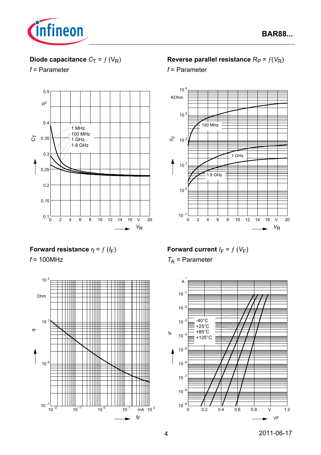

# **Diode capacitance**  $C_T = f(V_R)$

*f* = Parameter



## **Forward resistance**  $r_f = f(l_F)$

*f* = 100MHz



## **Reverse parallel resistance**  $R_P = f(V_R)$

*f* = Parameter



**Forward current**  $I_F = f(V_F)$ *T*A = Parameter

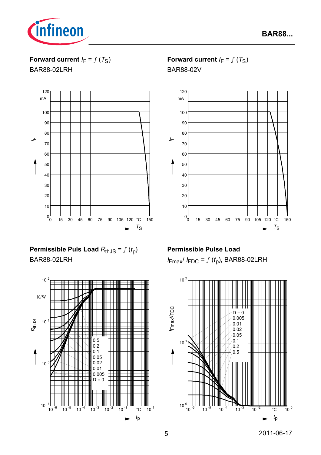

**Forward current**  $I_F = f(T_S)$ 

BAR88-02LRH



# **Permissible Puls Load**  $R_{th,JS} = f(t_p)$ BAR88-02LRH



## **Forward current**  $I_F = f(T_S)$

BAR88-02V



## **Permissible Pulse Load**

*I*Fmax/ *I* FDC = ƒ (*t*p), BAR88-02LRH

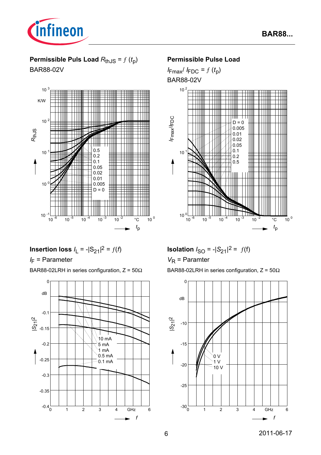

## **Permissible Puls Load**  $R_{thJS} = f(t_p)$

BAR88-02V



### **Permissible Pulse Load**

 $I_{\text{Fmax}}/I_{\text{FDC}} = f(t_p)$ BAR88-02V



**Insertion loss**  $I_L = -|S_{21}|^2 = f(t)$ 

*I* F = Parameter

BAR88-02LRH in series configuration,  $Z = 50\Omega$ 



**Isolation**  $I_{SO} = -|S_{21}|^2 = f(f)$ *V*<sub>R</sub> = Paramter

BAR88-02LRH in series configuration,  $Z = 50\Omega$ 

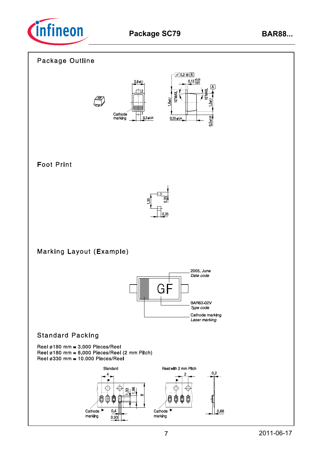

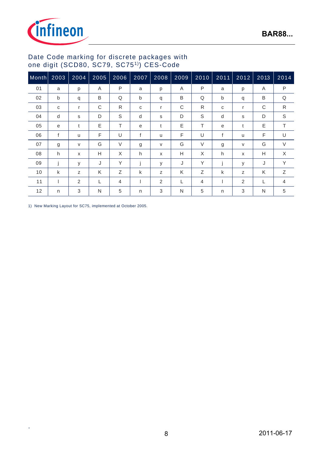



### Date Code marking for discrete packages with one digit (SCD80, SC79, SC751)) CES-Code

| Month | 2003         | 2004           | 2005 | 2006        | 2007 | 2008     | $\overline{2009}$ | 2010     | $2011$       | 2012         | 2013 | 2014           |
|-------|--------------|----------------|------|-------------|------|----------|-------------------|----------|--------------|--------------|------|----------------|
| 01    | a            | p              | A    | P           | a    | p        | A                 | P        | a            | p            | Α    | $\mathsf{P}$   |
| 02    | $\mathsf{b}$ | q              | B    | Q           | b    | q        | B                 | Q        | $\mathsf{b}$ | q            | B    | Q              |
| 03    | C            | r              | C    | R           | C    | r        | C                 | R        | C            | r            | C    | $\mathsf{R}$   |
| 04    | d            | S              | D    | $\mathsf S$ | d    | s        | D                 | S        | d            | S            | D    | $\mathsf S$    |
| 05    | e            | t              | E    | T           | e    | t        | E                 | T        | e            | t            | Ε    | T.             |
| 06    | f            | u              | F    | U           | f    | <b>u</b> | F                 | U        | f            | $\mathsf{u}$ | F    | U              |
| 07    | g            | V              | G    | $\vee$      | g    | V        | G                 | $\vee$   | g            | V            | G    | $\vee$         |
| 08    | h            | X              | H    | X           | h    | X        | H                 | $\times$ | h            | X            | Н    | X              |
| 09    | j            | y              | J    | Y           |      | У        | J                 | Υ        | j            | y            | J    | Y              |
| 10    | k            | Z              | K    | Ζ           | k    | z        | K                 | Ζ        | k            | Z            | K    | Ζ              |
| 11    |              | $\overline{2}$ | L    | 4           |      | 2        |                   | 4        |              | 2            | L    | $\overline{4}$ |
| 12    | n            | 3              | N    | 5           | n    | 3        | N                 | 5        | n            | 3            | N    | 5              |

1) New Marking Layout for SC75, implemented at October 2005.

.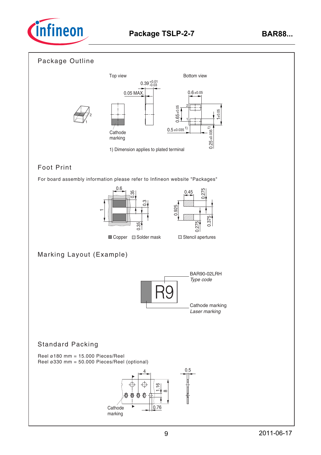